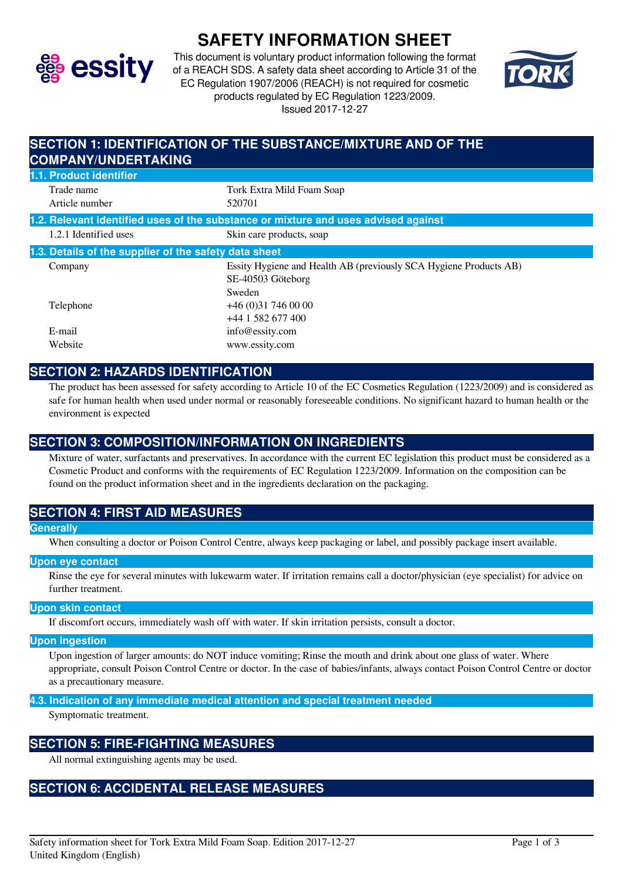

# **SAFETY INFORMATION SHEET**

This document is voluntary product information following the format of a REACH SDS. A safety data sheet according to Article 31 of the EC Regulation 1907/2006 (REACH) is not required for cosmetic products regulated by EC Regulation 1223/2009. Issued 2017-12-27



| SECTION 1: IDENTIFICATION OF THE SUBSTANCE/MIXTURE AND OF THE<br><b>COMPANY/UNDERTAKING</b> |                                                                                                  |
|---------------------------------------------------------------------------------------------|--------------------------------------------------------------------------------------------------|
| 1.1. Product identifier                                                                     |                                                                                                  |
| Trade name<br>Article number                                                                | Tork Extra Mild Foam Soap<br>520701                                                              |
|                                                                                             | 1.2. Relevant identified uses of the substance or mixture and uses advised against               |
| 1.2.1 Identified uses                                                                       | Skin care products, soap                                                                         |
| 1.3. Details of the supplier of the safety data sheet                                       |                                                                                                  |
| Company                                                                                     | Essity Hygiene and Health AB (previously SCA Hygiene Products AB)<br>SE-40503 Göteborg<br>Sweden |
| Telephone                                                                                   | $+46(0)317460000$<br>+44 1 582 677 400                                                           |
| E-mail                                                                                      | info@essity.com                                                                                  |
| Website                                                                                     | www.essity.com                                                                                   |

### **SECTION 2: HAZARDS IDENTIFICATION**

The product has been assessed for safety according to Article 10 of the EC Cosmetics Regulation (1223/2009) and is considered as safe for human health when used under normal or reasonably foreseeable conditions. No significant hazard to human health or the environment is expected

### **SECTION 3: COMPOSITION/INFORMATION ON INGREDIENTS**

Mixture of water, surfactants and preservatives. In accordance with the current EC legislation this product must be considered as a Cosmetic Product and conforms with the requirements of EC Regulation 1223/2009. Information on the composition can be found on the product information sheet and in the ingredients declaration on the packaging.

### **SECTION 4: FIRST AID MEASURES**

#### **Generally**

When consulting a doctor or Poison Control Centre, always keep packaging or label, and possibly package insert available.

#### **Upon eye contact**

Rinse the eye for several minutes with lukewarm water. If irritation remains call a doctor/physician (eye specialist) for advice on further treatment.

#### **Upon skin contact**

If discomfort occurs, immediately wash off with water. If skin irritation persists, consult a doctor.

#### **Upon ingestion**

Upon ingestion of larger amounts: do NOT induce vomiting; Rinse the mouth and drink about one glass of water. Where appropriate, consult Poison Control Centre or doctor. In the case of babies/infants, always contact Poison Control Centre or doctor as a precautionary measure.

#### **4.3. Indication of any immediate medical attention and special treatment needed**

Symptomatic treatment.

### **SECTION 5: FIRE-FIGHTING MEASURES**

All normal extinguishing agents may be used.

# **SECTION 6: ACCIDENTAL RELEASE MEASURES**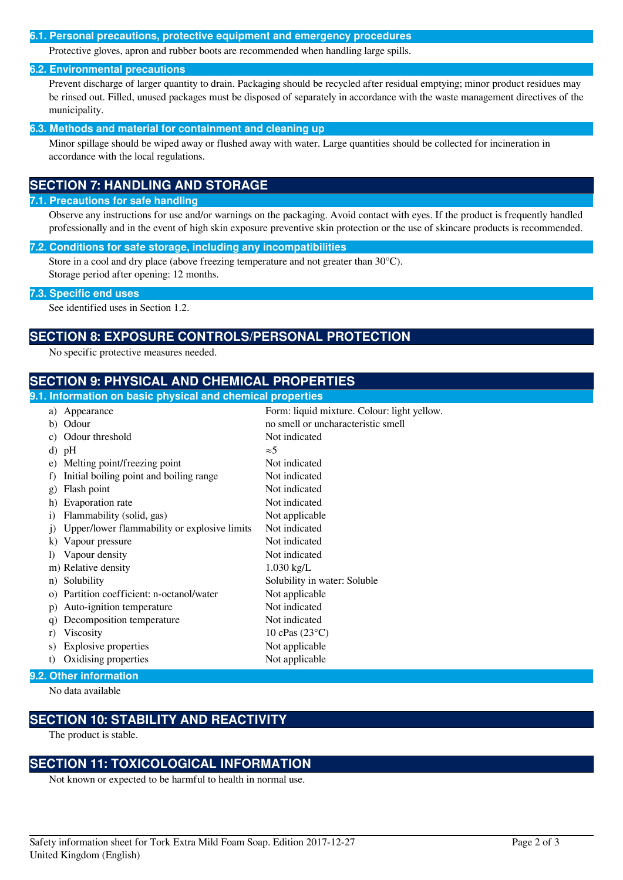#### **6.1. Personal precautions, protective equipment and emergency procedures**

Protective gloves, apron and rubber boots are recommended when handling large spills.

#### **6.2. Environmental precautions**

Prevent discharge of larger quantity to drain. Packaging should be recycled after residual emptying; minor product residues may be rinsed out. Filled, unused packages must be disposed of separately in accordance with the waste management directives of the municipality.

#### **6.3. Methods and material for containment and cleaning up**

Minor spillage should be wiped away or flushed away with water. Large quantities should be collected for incineration in accordance with the local regulations.

### **SECTION 7: HANDLING AND STORAGE**

#### **7.1. Precautions for safe handling**

Observe any instructions for use and/or warnings on the packaging. Avoid contact with eyes. If the product is frequently handled professionally and in the event of high skin exposure preventive skin protection or the use of skincare products is recommended.

#### **7.2. Conditions for safe storage, including any incompatibilities**

Store in a cool and dry place (above freezing temperature and not greater than 30°C). Storage period after opening: 12 months.

#### **7.3. Specific end uses**

See identified uses in Section 1.2.

### **SECTION 8: EXPOSURE CONTROLS/PERSONAL PROTECTION**

No specific protective measures needed.

### **SECTION 9: PHYSICAL AND CHEMICAL PROPERTIES**

### **9.1. Information on basic physical and chemical properties** a) Appearance Form: liquid mixture. Colour: light yellow. b) Odour no smell or uncharacteristic smell c) Odour threshold Not indicated d) pH  $\approx$ 5 e) Melting point/freezing point Not indicated f) Initial boiling point and boiling range Not indicated g) Flash point Not indicated h) Evaporation rate Not indicated i) Flammability (solid, gas) Not applicable j) Upper/lower flammability or explosive limits Not indicated k) Vapour pressure Not indicated l) Vapour density Not indicated m) Relative density 1.030 kg/L n) Solubility Solubility in water: Soluble o) Partition coefficient: n-octanol/water Not applicable p) Auto-ignition temperature Not indicated q) Decomposition temperature Not indicated r) Viscosity  $10 \text{ cPa}s (23^{\circ}C)$ s) Explosive properties Not applicable t) Oxidising properties Not applicable

#### **9.2. Other information**

No data available

### **SECTION 10: STABILITY AND REACTIVITY**

The product is stable.

### **SECTION 11: TOXICOLOGICAL INFORMATION**

Not known or expected to be harmful to health in normal use.